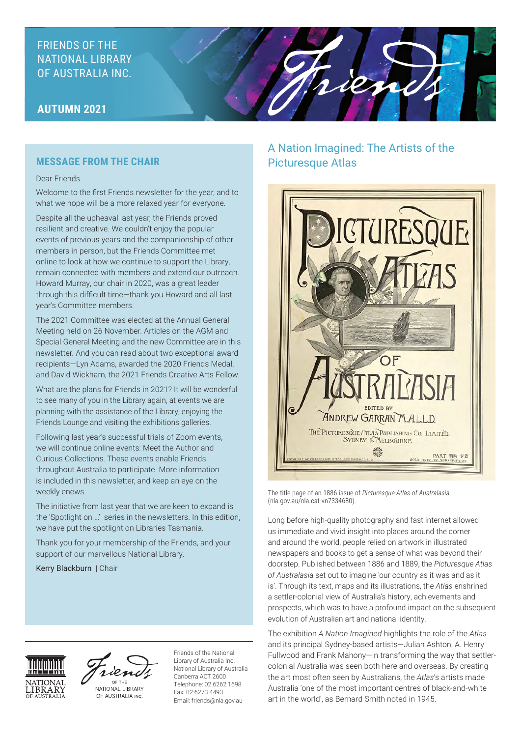# FRIENDS OF THE NATIONAL LIBRARY OF AUSTRALIA INC.

#### **AUTUMN 2021**

#### **MESSAGE FROM THE CHAIR EXECUTE AT A PICTURE AT A PICTURE AT A PICTURE AT A PICTURE AT A PICTURE AT A PICTURE AT A PICTURE AT A PICTURE AT A PICTURE AT A PICTURE AT A PICTURE AT A PICTURE AT A PICTURE AT A PICTURE AT A P**

#### Dear Friends

Welcome to the first Friends newsletter for the year, and to what we hope will be a more relaxed year for everyone.

Despite all the upheaval last year, the Friends proved resilient and creative. We couldn't enjoy the popular events of previous years and the companionship of other members in person, but the Friends Committee met online to look at how we continue to support the Library, remain connected with members and extend our outreach. Howard Murray, our chair in 2020, was a great leader through this difficult time—thank you Howard and all last year's Committee members.

The 2021 Committee was elected at the Annual General Meeting held on 26 November. Articles on the AGM and Special General Meeting and the new Committee are in this newsletter. And you can read about two exceptional award recipients—Lyn Adams, awarded the 2020 Friends Medal, and David Wickham, the 2021 Friends Creative Arts Fellow.

What are the plans for Friends in 2021? It will be wonderful to see many of you in the Library again, at events we are planning with the assistance of the Library, enjoying the Friends Lounge and visiting the exhibitions galleries.

Following last year's successful trials of Zoom events, we will continue online events: Meet the Author and Curious Collections. These events enable Friends throughout Australia to participate. More information is included in this newsletter, and keep an eye on the weekly enews.

The initiative from last year that we are keen to expand is the 'Spotlight on …' series in the newsletters. In this edition, we have put the spotlight on Libraries Tasmania.

Thank you for your membership of the Friends, and your support of our marvellous National Library.

Kerry Blackburn | Chair

# A Nation Imagined: The Artists of the

ien



The title page of an 1886 issue of *Picturesque Atlas of Australasia*  (nla.gov.au/nla.cat-vn7334680).

Long before high-quality photography and fast internet allowed us immediate and vivid insight into places around the corner and around the world, people relied on artwork in illustrated newspapers and books to get a sense of what was beyond their doorstep. Published between 1886 and 1889, the *Picturesque Atlas of Australasia* set out to imagine 'our country as it was and as it is'. Through its text, maps and its illustrations, the *Atlas* enshrined a settler-colonial view of Australia's history, achievements and prospects, which was to have a profound impact on the subsequent evolution of Australian art and national identity.

The exhibition *A Nation Imagined* highlights the role of the *Atlas* and its principal Sydney-based artists—Julian Ashton, A. Henry Fullwood and Frank Mahony—in transforming the way that settlercolonial Australia was seen both here and overseas. By creating the art most often seen by Australians, the *Atlas*'s artists made Australia 'one of the most important centres of black-and-white art in the world', as Bernard Smith noted in 1945.





NATIONAL LIBRARY OF AUSTRALIA INC.

Friends of the National Library of Australia Inc. National Library of Australia Canberra ACT 2600 Telephone: 02 6262 1698 Fax: 02 6273 4493 Email: friends@nla.gov.au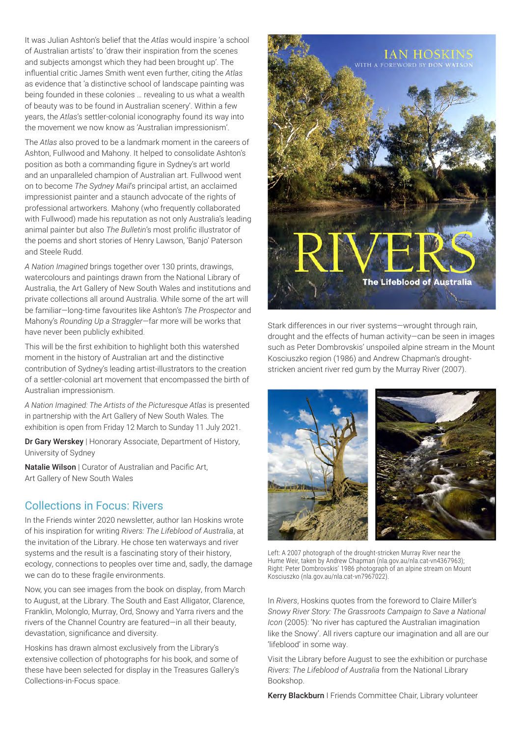It was Julian Ashton's belief that the *Atlas* would inspire 'a school of Australian artists' to 'draw their inspiration from the scenes and subjects amongst which they had been brought up'. The influential critic James Smith went even further, citing the *Atlas* as evidence that 'a distinctive school of landscape painting was being founded in these colonies … revealing to us what a wealth of beauty was to be found in Australian scenery'. Within a few years, the *Atlas*'s settler-colonial iconography found its way into the movement we now know as 'Australian impressionism'.

The *Atlas* also proved to be a landmark moment in the careers of Ashton, Fullwood and Mahony. It helped to consolidate Ashton's position as both a commanding figure in Sydney's art world and an unparalleled champion of Australian art. Fullwood went on to become *The Sydney Mail*'s principal artist, an acclaimed impressionist painter and a staunch advocate of the rights of professional artworkers. Mahony (who frequently collaborated with Fullwood) made his reputation as not only Australia's leading animal painter but also *The Bulletin*'s most prolific illustrator of the poems and short stories of Henry Lawson, 'Banjo' Paterson and Steele Rudd.

*A Nation Imagined* brings together over 130 prints, drawings, watercolours and paintings drawn from the National Library of Australia, the Art Gallery of New South Wales and institutions and private collections all around Australia. While some of the art will be familiar—long-time favourites like Ashton's *The Prospector* and Mahony's *Rounding Up a Straggler*—far more will be works that have never been publicly exhibited.

This will be the first exhibition to highlight both this watershed moment in the history of Australian art and the distinctive contribution of Sydney's leading artist-illustrators to the creation of a settler-colonial art movement that encompassed the birth of Australian impressionism.

*A Nation Imagined: The Artists of the Picturesque Atlas* is presented in partnership with the Art Gallery of New South Wales. The exhibition is open from Friday 12 March to Sunday 11 July 2021.

Dr Gary Werskey | Honorary Associate, Department of History, University of Sydney

Natalie Wilson | Curator of Australian and Pacific Art, Art Gallery of New South Wales

#### Collections in Focus: Rivers

In the Friends winter 2020 newsletter, author Ian Hoskins wrote of his inspiration for writing *Rivers: The Lifeblood of Australia*, at the invitation of the Library. He chose ten waterways and river systems and the result is a fascinating story of their history, ecology, connections to peoples over time and, sadly, the damage we can do to these fragile environments.

Now, you can see images from the book on display, from March to August, at the Library. The South and East Alligator, Clarence, Franklin, Molonglo, Murray, Ord, Snowy and Yarra rivers and the rivers of the Channel Country are featured—in all their beauty, devastation, significance and diversity.

Hoskins has drawn almost exclusively from the Library's extensive collection of photographs for his book, and some of these have been selected for display in the Treasures Gallery's Collections-in-Focus space.



Stark differences in our river systems—wrought through rain, drought and the effects of human activity—can be seen in images such as Peter Dombrovskis' unspoiled alpine stream in the Mount Kosciuszko region (1986) and Andrew Chapman's droughtstricken ancient river red gum by the Murray River (2007).



Left: A 2007 photograph of the drought-stricken Murray River near the Hume Weir, taken by Andrew Chapman (nla.gov.au/nla.cat-vn4367963); Right: Peter Dombrovskis' 1986 photograph of an alpine stream on Mount Kosciuszko (nla.gov.au/nla.cat-vn7967022).

In *Rivers*, Hoskins quotes from the foreword to Claire Miller's *Snowy River Story: The Grassroots Campaign to Save a National Icon* (2005): 'No river has captured the Australian imagination like the Snowy'. All rivers capture our imagination and all are our 'lifeblood' in some way.

Visit the Library before August to see the exhibition or purchase *Rivers: The Lifeblood of Australia* from the National Library Bookshop.

Kerry Blackburn I Friends Committee Chair, Library volunteer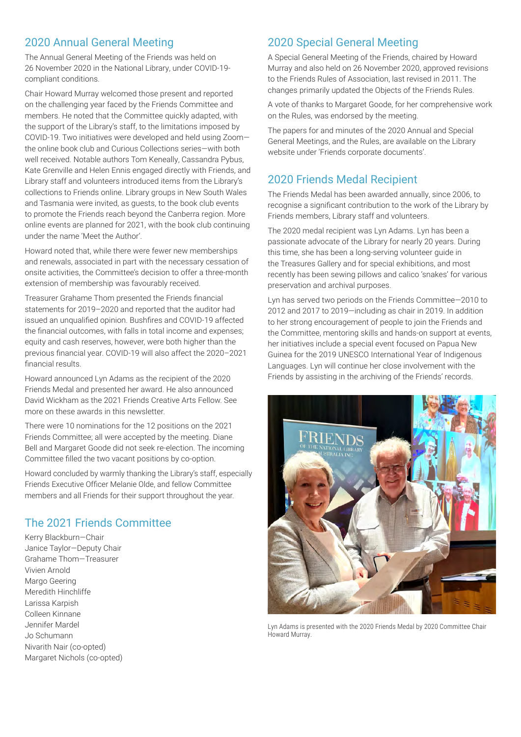# 2020 Annual General Meeting

The Annual General Meeting of the Friends was held on 26 November 2020 in the National Library, under COVID-19 compliant conditions.

Chair Howard Murray welcomed those present and reported on the challenging year faced by the Friends Committee and members. He noted that the Committee quickly adapted, with the support of the Library's staff, to the limitations imposed by COVID-19. Two initiatives were developed and held using Zoom the online book club and Curious Collections series—with both well received. Notable authors Tom Keneally, Cassandra Pybus, Kate Grenville and Helen Ennis engaged directly with Friends, and Library staff and volunteers introduced items from the Library's collections to Friends online. Library groups in New South Wales and Tasmania were invited, as guests, to the book club events to promote the Friends reach beyond the Canberra region. More online events are planned for 2021, with the book club continuing under the name 'Meet the Author'.

Howard noted that, while there were fewer new memberships and renewals, associated in part with the necessary cessation of onsite activities, the Committee's decision to offer a three-month extension of membership was favourably received.

Treasurer Grahame Thom presented the Friends financial statements for 2019–2020 and reported that the auditor had issued an unqualified opinion. Bushfires and COVID-19 affected the financial outcomes, with falls in total income and expenses; equity and cash reserves, however, were both higher than the previous financial year. COVID-19 will also affect the 2020–2021 financial results.

Howard announced Lyn Adams as the recipient of the 2020 Friends Medal and presented her award. He also announced David Wickham as the 2021 Friends Creative Arts Fellow. See more on these awards in this newsletter.

There were 10 nominations for the 12 positions on the 2021 Friends Committee; all were accepted by the meeting. Diane Bell and Margaret Goode did not seek re-election. The incoming Committee filled the two vacant positions by co-option.

Howard concluded by warmly thanking the Library's staff, especially Friends Executive Officer Melanie Olde, and fellow Committee members and all Friends for their support throughout the year.

#### The 2021 Friends Committee

Kerry Blackburn—Chair Janice Taylor—Deputy Chair Grahame Thom—Treasurer Vivien Arnold Margo Geering Meredith Hinchliffe Larissa Karpish Colleen Kinnane Jennifer Mardel Jo Schumann Nivarith Nair (co-opted) Margaret Nichols (co-opted)

# 2020 Special General Meeting

A Special General Meeting of the Friends, chaired by Howard Murray and also held on 26 November 2020, approved revisions to the Friends Rules of Association, last revised in 2011. The changes primarily updated the Objects of the Friends Rules.

A vote of thanks to Margaret Goode, for her comprehensive work on the Rules, was endorsed by the meeting.

The papers for and minutes of the 2020 Annual and Special General Meetings, and the Rules, are available on the Library website under 'Friends corporate documents'.

## 2020 Friends Medal Recipient

The Friends Medal has been awarded annually, since 2006, to recognise a significant contribution to the work of the Library by Friends members, Library staff and volunteers.

The 2020 medal recipient was Lyn Adams. Lyn has been a passionate advocate of the Library for nearly 20 years. During this time, she has been a long-serving volunteer guide in the Treasures Gallery and for special exhibitions, and most recently has been sewing pillows and calico 'snakes' for various preservation and archival purposes.

Lyn has served two periods on the Friends Committee—2010 to 2012 and 2017 to 2019—including as chair in 2019. In addition to her strong encouragement of people to join the Friends and the Committee, mentoring skills and hands-on support at events, her initiatives include a special event focused on Papua New Guinea for the 2019 UNESCO International Year of Indigenous Languages. Lyn will continue her close involvement with the Friends by assisting in the archiving of the Friends' records.



Lyn Adams is presented with the 2020 Friends Medal by 2020 Committee Chair Howard Murray.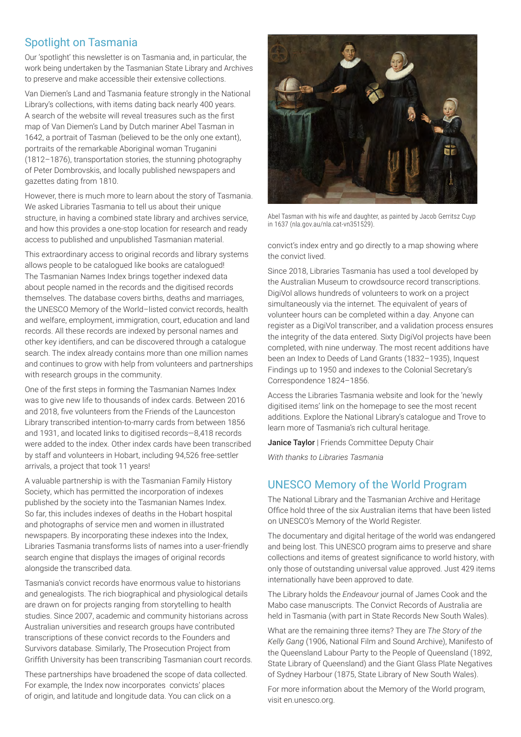# Spotlight on Tasmania

Our 'spotlight' this newsletter is on Tasmania and, in particular, the work being undertaken by the Tasmanian State Library and Archives to preserve and make accessible their extensive collections.

Van Diemen's Land and Tasmania feature strongly in the National Library's collections, with items dating back nearly 400 years. A search of the website will reveal treasures such as the first map of Van Diemen's Land by Dutch mariner Abel Tasman in 1642, a portrait of Tasman (believed to be the only one extant), portraits of the remarkable Aboriginal woman Truganini (1812–1876), transportation stories, the stunning photography of Peter Dombrovskis, and locally published newspapers and gazettes dating from 1810.

However, there is much more to learn about the story of Tasmania. We asked Libraries Tasmania to tell us about their unique structure, in having a combined state library and archives service, and how this provides a one-stop location for research and ready access to published and unpublished Tasmanian material.

This extraordinary access to original records and library systems allows people to be catalogued like books are catalogued! The Tasmanian Names Index brings together indexed data about people named in the records and the digitised records themselves. The database covers births, deaths and marriages, the UNESCO Memory of the World–listed convict records, health and welfare, employment, immigration, court, education and land records. All these records are indexed by personal names and other key identifiers, and can be discovered through a catalogue search. The index already contains more than one million names and continues to grow with help from volunteers and partnerships with research groups in the community.

One of the first steps in forming the Tasmanian Names Index was to give new life to thousands of index cards. Between 2016 and 2018, five volunteers from the Friends of the Launceston Library transcribed intention-to-marry cards from between 1856 and 1931, and located links to digitised records—8,418 records were added to the index. Other index cards have been transcribed by staff and volunteers in Hobart, including 94,526 free-settler arrivals, a project that took 11 years!

A valuable partnership is with the Tasmanian Family History Society, which has permitted the incorporation of indexes published by the society into the Tasmanian Names Index. So far, this includes indexes of deaths in the Hobart hospital and photographs of service men and women in illustrated newspapers. By incorporating these indexes into the Index, Libraries Tasmania transforms lists of names into a user-friendly search engine that displays the images of original records alongside the transcribed data.

Tasmania's convict records have enormous value to historians and genealogists. The rich biographical and physiological details are drawn on for projects ranging from storytelling to health studies. Since 2007, academic and community historians across Australian universities and research groups have contributed transcriptions of these convict records to the Founders and Survivors database. Similarly, The Prosecution Project from Griffith University has been transcribing Tasmanian court records.

These partnerships have broadened the scope of data collected. For example, the Index now incorporates convicts' places of origin, and latitude and longitude data. You can click on a



Abel Tasman with his wife and daughter, as painted by Jacob Gerritsz Cuyp in 1637 (nla.gov.au/nla.cat-vn351529).

convict's index entry and go directly to a map showing where the convict lived.

Since 2018, Libraries Tasmania has used a tool developed by the Australian Museum to crowdsource record transcriptions. DigiVol allows hundreds of volunteers to work on a project simultaneously via the internet. The equivalent of years of volunteer hours can be completed within a day. Anyone can register as a DigiVol transcriber, and a validation process ensures the integrity of the data entered. Sixty DigiVol projects have been completed, with nine underway. The most recent additions have been an Index to Deeds of Land Grants (1832–1935), Inquest Findings up to 1950 and indexes to the Colonial Secretary's Correspondence 1824–1856.

Access the Libraries Tasmania website and look for the 'newly digitised items' link on the homepage to see the most recent additions. Explore the National Library's catalogue and Trove to learn more of Tasmania's rich cultural heritage.

Janice Taylor | Friends Committee Deputy Chair *With thanks to Libraries Tasmania*

#### UNESCO Memory of the World Program

The National Library and the Tasmanian Archive and Heritage Office hold three of the six Australian items that have been listed on UNESCO's Memory of the World Register.

The documentary and digital heritage of the world was endangered and being lost. This UNESCO program aims to preserve and share collections and items of greatest significance to world history, with only those of outstanding universal value approved. Just 429 items internationally have been approved to date.

The Library holds the *Endeavour* journal of James Cook and the Mabo case manuscripts. The Convict Records of Australia are held in Tasmania (with part in State Records New South Wales).

What are the remaining three items? They are *The Story of the Kelly Gang* (1906, National Film and Sound Archive), Manifesto of the Queensland Labour Party to the People of Queensland (1892, State Library of Queensland) and the Giant Glass Plate Negatives of Sydney Harbour (1875, State Library of New South Wales).

For more information about the Memory of the World program, visit en.unesco.org.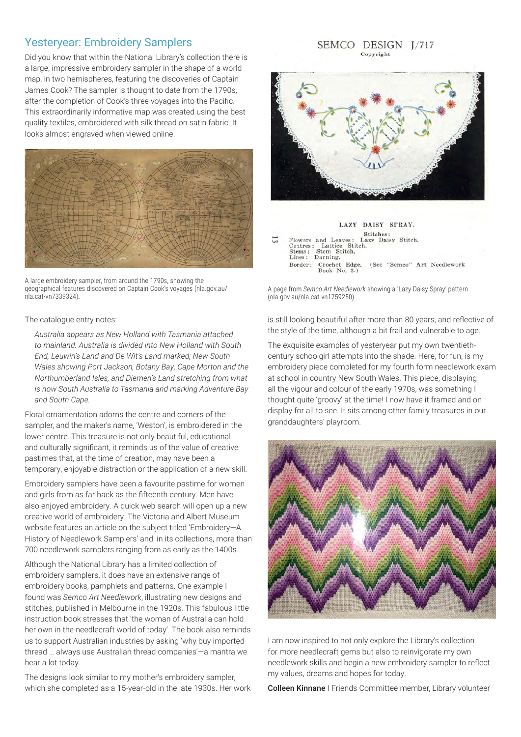#### Yesteryear: Embroidery Samplers

Did you know that within the National Library's collection there is a large, impressive embroidery sampler in the shape of a world map, in two hemispheres, featuring the discoveries of Captain James Cook? The sampler is thought to date from the 1790s, after the completion of Cook's three voyages into the Pacific. This extraordinarily informative map was created using the best quality textiles, embroidered with silk thread on satin fabric. It looks almost engraved when viewed online.



A large embroidery sampler, from around the 1790s, showing the geographical features discovered on Captain Cook's voyages (nla.gov.au/ nla.cat-vn7339324).

The catalogue entry notes:

 *Australia appears as New Holland with Tasmania attached to mainland. Australia is divided into New Holland with South End, Leuwin's Land and De Wit's Land marked; New South Wales showing Port Jackson, Botany Bay, Cape Morton and the Northumberland Isles, and Diemen's Land stretching from what is now South Australia to Tasmania and marking Adventure Bay and South Cape.*

Floral ornamentation adorns the centre and corners of the sampler, and the maker's name, 'Weston', is embroidered in the lower centre. This treasure is not only beautiful, educational and culturally significant, it reminds us of the value of creative pastimes that, at the time of creation, may have been a temporary, enjoyable distraction or the application of a new skill.

Embroidery samplers have been a favourite pastime for women and girls from as far back as the fifteenth century. Men have also enjoyed embroidery. A quick web search will open up a new creative world of embroidery. The Victoria and Albert Museum website features an article on the subject titled 'Embroidery—A History of Needlework Samplers' and, in its collections, more than 700 needlework samplers ranging from as early as the 1400s.

Although the National Library has a limited collection of embroidery samplers, it does have an extensive range of embroidery books, pamphlets and patterns. One example I found was *Semco Art Needlework*, illustrating new designs and stitches, published in Melbourne in the 1920s. This fabulous little instruction book stresses that 'the woman of Australia can hold her own in the needlecraft world of today'. The book also reminds us to support Australian industries by asking 'why buy imported thread … always use Australian thread companies'—a mantra we hear a lot today.

The designs look similar to my mother's embroidery sampler, which she completed as a 15-year-old in the late 1930s. Her work

#### SEMCO DESIGN 1/717 Copyright



#### LAZY DAISY SPRAY.

**Stitches:** Flowers and Leaves: Lazy Daisy Stitch.<br>Centres: Lattice Stitch.<br>Stems: Stem Stitch. Stems: Stem St.<br>Lines: Darning. Crochet Edge.<br>Book No. 3.) (See "Semco" Art Needlework Border:

A page from *Semco Art Needlework* showing a 'Lazy Daisy Spray' pattern (nla.gov.au/nla.cat-vn1759250).

is still looking beautiful after more than 80 years, and reflective of the style of the time, although a bit frail and vulnerable to age.

The exquisite examples of yesteryear put my own twentiethcentury schoolgirl attempts into the shade. Here, for fun, is my embroidery piece completed for my fourth form needlework exam at school in country New South Wales. This piece, displaying all the vigour and colour of the early 1970s, was something I thought quite 'groovy' at the time! I now have it framed and on display for all to see. It sits among other family treasures in our granddaughters' playroom.



I am now inspired to not only explore the Library's collection for more needlecraft gems but also to reinvigorate my own needlework skills and begin a new embroidery sampler to reflect my values, dreams and hopes for today.

Colleen Kinnane I Friends Committee member, Library volunteer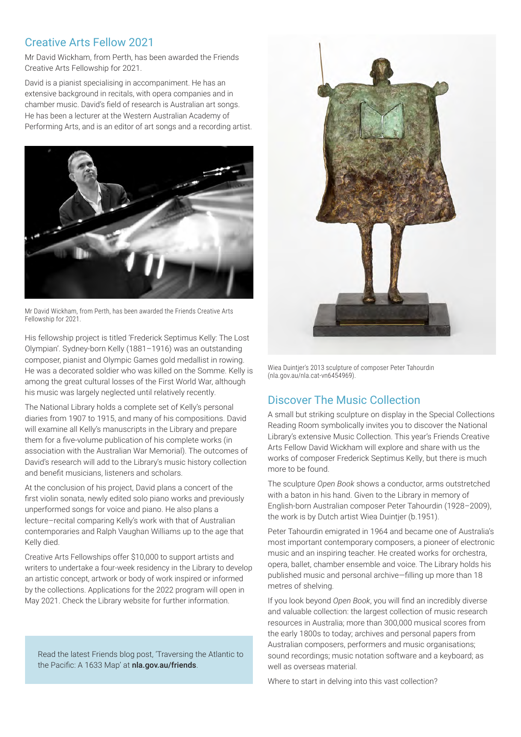### Creative Arts Fellow 2021

Mr David Wickham, from Perth, has been awarded the Friends Creative Arts Fellowship for 2021.

David is a pianist specialising in accompaniment. He has an extensive background in recitals, with opera companies and in chamber music. David's field of research is Australian art songs. He has been a lecturer at the Western Australian Academy of Performing Arts, and is an editor of art songs and a recording artist.



Mr David Wickham, from Perth, has been awarded the Friends Creative Arts Fellowship for 2021.

His fellowship project is titled 'Frederick Septimus Kelly: The Lost Olympian'. Sydney-born Kelly (1881–1916) was an outstanding composer, pianist and Olympic Games gold medallist in rowing. He was a decorated soldier who was killed on the Somme. Kelly is among the great cultural losses of the First World War, although his music was largely neglected until relatively recently.

The National Library holds a complete set of Kelly's personal diaries from 1907 to 1915, and many of his compositions. David will examine all Kelly's manuscripts in the Library and prepare them for a five-volume publication of his complete works (in association with the Australian War Memorial). The outcomes of David's research will add to the Library's music history collection and benefit musicians, listeners and scholars.

At the conclusion of his project, David plans a concert of the first violin sonata, newly edited solo piano works and previously unperformed songs for voice and piano. He also plans a lecture–recital comparing Kelly's work with that of Australian contemporaries and Ralph Vaughan Williams up to the age that Kelly died.

Creative Arts Fellowships offer \$10,000 to support artists and writers to undertake a four-week residency in the Library to develop an artistic concept, artwork or body of work inspired or informed by the collections. Applications for the 2022 program will open in May 2021. Check the Library website for further information.

Read the latest Friends blog post, 'Traversing the Atlantic to the Pacific: A 1633 Map' at nla.gov.au/friends.



Wiea Duintjer's 2013 sculpture of composer Peter Tahourdin (nla.gov.au/nla.cat-vn6454969).

# Discover The Music Collection

A small but striking sculpture on display in the Special Collections Reading Room symbolically invites you to discover the National Library's extensive Music Collection. This year's Friends Creative Arts Fellow David Wickham will explore and share with us the works of composer Frederick Septimus Kelly, but there is much more to be found.

The sculpture *Open Book* shows a conductor, arms outstretched with a baton in his hand. Given to the Library in memory of English-born Australian composer Peter Tahourdin (1928–2009), the work is by Dutch artist Wiea Duintjer (b.1951).

Peter Tahourdin emigrated in 1964 and became one of Australia's most important contemporary composers, a pioneer of electronic music and an inspiring teacher. He created works for orchestra, opera, ballet, chamber ensemble and voice. The Library holds his published music and personal archive—filling up more than 18 metres of shelving.

If you look beyond *Open Book*, you will find an incredibly diverse and valuable collection: the largest collection of music research resources in Australia; more than 300,000 musical scores from the early 1800s to today; archives and personal papers from Australian composers, performers and music organisations; sound recordings; music notation software and a keyboard; as well as overseas material.

Where to start in delving into this vast collection?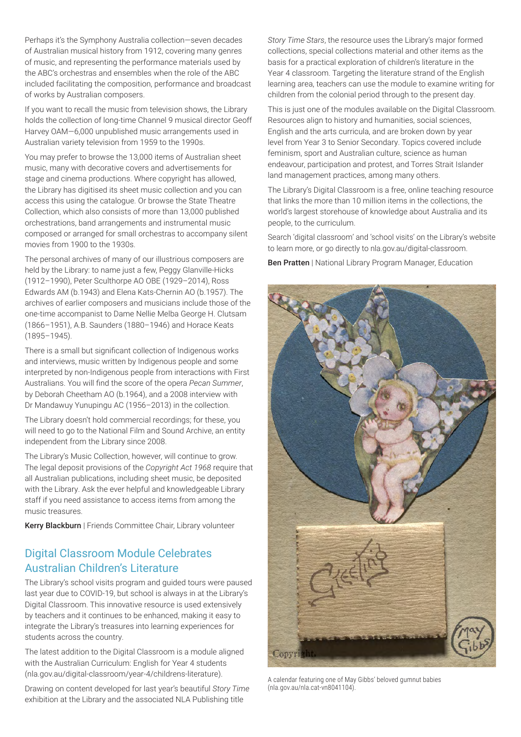Perhaps it's the Symphony Australia collection—seven decades of Australian musical history from 1912, covering many genres of music, and representing the performance materials used by the ABC's orchestras and ensembles when the role of the ABC included facilitating the composition, performance and broadcast of works by Australian composers.

If you want to recall the music from television shows, the Library holds the collection of long-time Channel 9 musical director Geoff Harvey OAM—6,000 unpublished music arrangements used in Australian variety television from 1959 to the 1990s.

You may prefer to browse the 13,000 items of Australian sheet music, many with decorative covers and advertisements for stage and cinema productions. Where copyright has allowed, the Library has digitised its sheet music collection and you can access this using the catalogue. Or browse the State Theatre Collection, which also consists of more than 13,000 published orchestrations, band arrangements and instrumental music composed or arranged for small orchestras to accompany silent movies from 1900 to the 1930s.

The personal archives of many of our illustrious composers are held by the Library: to name just a few, Peggy Glanville-Hicks (1912–1990), Peter Sculthorpe AO OBE (1929–2014), Ross Edwards AM (b.1943) and Elena Kats-Chernin AO (b.1957). The archives of earlier composers and musicians include those of the one-time accompanist to Dame Nellie Melba George H. Clutsam (1866–1951), A.B. Saunders (1880–1946) and Horace Keats (1895–1945).

There is a small but significant collection of Indigenous works and interviews, music written by Indigenous people and some interpreted by non-Indigenous people from interactions with First Australians. You will find the score of the opera *Pecan Summer*, by Deborah Cheetham AO (b.1964), and a 2008 interview with Dr Mandawuy Yunupingu AC (1956–2013) in the collection.

The Library doesn't hold commercial recordings; for these, you will need to go to the National Film and Sound Archive, an entity independent from the Library since 2008.

The Library's Music Collection, however, will continue to grow. The legal deposit provisions of the *Copyright Act 1968* require that all Australian publications, including sheet music, be deposited with the Library. Ask the ever helpful and knowledgeable Library staff if you need assistance to access items from among the music treasures.

Kerry Blackburn | Friends Committee Chair, Library volunteer

# Digital Classroom Module Celebrates Australian Children's Literature

The Library's school visits program and guided tours were paused last year due to COVID-19, but school is always in at the Library's Digital Classroom. This innovative resource is used extensively by teachers and it continues to be enhanced, making it easy to integrate the Library's treasures into learning experiences for students across the country.

The latest addition to the Digital Classroom is a module aligned with the Australian Curriculum: English for Year 4 students (nla.gov.au/digital-classroom/year-4/childrens-literature).

Drawing on content developed for last year's beautiful *Story Time* exhibition at the Library and the associated NLA Publishing title

*Story Time Stars*, the resource uses the Library's major formed collections, special collections material and other items as the basis for a practical exploration of children's literature in the Year 4 classroom. Targeting the literature strand of the English learning area, teachers can use the module to examine writing for children from the colonial period through to the present day.

This is just one of the modules available on the Digital Classroom. Resources align to history and humanities, social sciences, English and the arts curricula, and are broken down by year level from Year 3 to Senior Secondary. Topics covered include feminism, sport and Australian culture, science as human endeavour, participation and protest, and Torres Strait Islander land management practices, among many others.

The Library's Digital Classroom is a free, online teaching resource that links the more than 10 million items in the collections, the world's largest storehouse of knowledge about Australia and its people, to the curriculum.

Search 'digital classroom' and 'school visits' on the Library's website to learn more, or go directly to nla.gov.au/digital-classroom.

Ben Pratten | National Library Program Manager, Education



A calendar featuring one of May Gibbs' beloved gumnut babies (nla.gov.au/nla.cat-vn8041104).